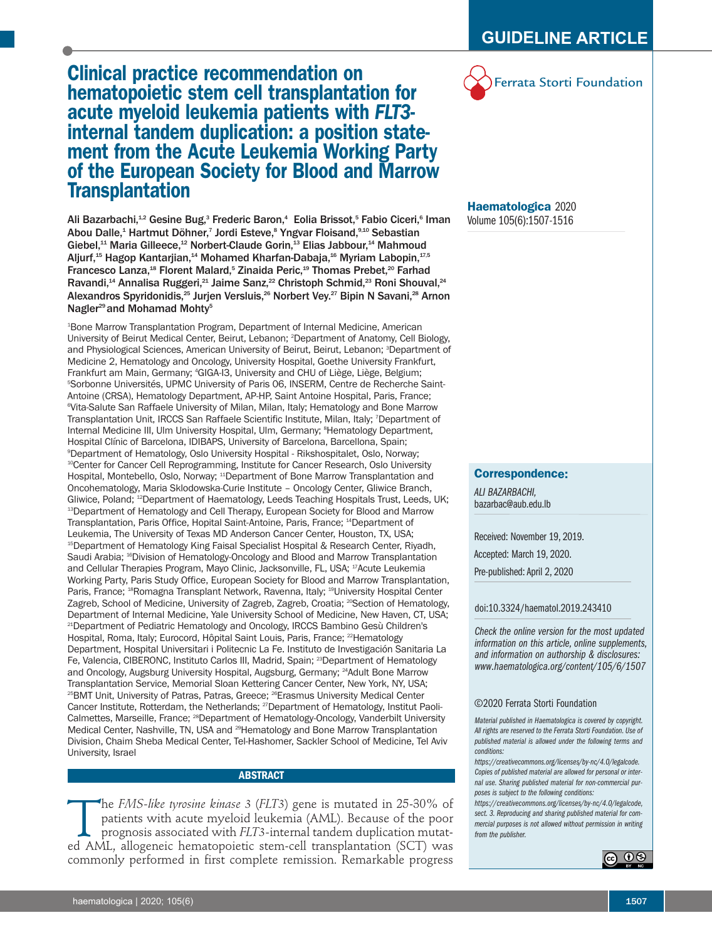# **Clinical practice recommendation on hematopoietic stem cell transplantation for acute myeloid leukemia patients with** *FLT3* **internal tandem duplication: a position state ment from the Acute Leukemia Working Party of the European Society for Blood and Marrow Transplantation**

Ali Bazarbachi, $^\text{12}$  Gesine Bug, $^\text{3}$  Frederic Baron, $^\text{4}\,$  Eolia Brissot, $^\text{5}$  Fabio Ciceri, $^\text{6}$  Iman Abou Dalle, <sup>1</sup> Hartmut Döhner, <sup>7</sup> Jordi Esteve, <sup>8</sup> Yngvar Floisand, 9,10 Sebastian Giebel, <sup>11</sup> Maria Gilleece, <sup>12</sup> Norbert-Claude Gorin, <sup>13</sup> Elias Jabbour, <sup>14</sup> Mahmoud Aljurf, $^{15}$  Hagop Kantarjian, $^{14}$  Mohamed Kharfan-Dabaja, $^{16}$  Myriam Labopin, $^{17,5}$ Francesco Lanza, <sup>18</sup> Florent Malard, <sup>5</sup> Zinaida Peric, <sup>19</sup> Thomas Prebet, <sup>20</sup> Farhad Ravandi,<sup>14</sup> Annalisa Ruggeri,<sup>21</sup> Jaime Sanz,<sup>22</sup> Christoph Schmid,<sup>23</sup> Roni Shouval,<sup>24</sup> Alexandros Spyridonidis,<sup>25</sup> Jurjen Versluis,<sup>26</sup> Norbert Vey.<sup>27</sup> Bipin N Savani,<sup>28</sup> Arnon Nagler<sup>29</sup> and Mohamad Mohty<sup>5</sup>

1 Bone Marrow Transplantation Program, Department of Internal Medicine, American University of Beirut Medical Center, Beirut, Lebanon; <sup>2</sup> Department of Anatomy, Cell Biology, and Physiological Sciences, American University of Beirut, Beirut, Lebanon; <sup>3</sup>Department of Medicine 2, Hematology and Oncology, University Hospital, Goethe University Frankfurt, Frankfurt am Main, Germany; <sup>4</sup> GIGA-I3, University and CHU of Liège, Liège, Belgium; 5 Sorbonne Universités, UPMC University of Paris 06, INSERM, Centre de Recherche Saint-Antoine (CRSA), Hematology Department, AP-HP, Saint Antoine Hospital, Paris, France; 6 Vita-Salute San Raffaele University of Milan, Milan, Italy; Hematology and Bone Marrow Transplantation Unit, IRCCS San Raffaele Scientific Institute, Milan, Italy; <sup>7</sup> Department of Internal Medicine III, Ulm University Hospital, Ulm, Germany; <sup>8</sup>Hematology Department, Hospital Clínic of Barcelona, IDIBAPS, University of Barcelona, Barcellona, Spain; 9 Department of Hematology, Oslo University Hospital - Rikshospitalet, Oslo, Norway; <sup>10</sup>Center for Cancer Cell Reprogramming, Institute for Cancer Research, Oslo University Hospital, Montebello, Oslo, Norway; <sup>11</sup>Department of Bone Marrow Transplantation and Oncohematology, Maria Sklodowska-Curie Institute – Oncology Center, Gliwice Branch, Gliwice, Poland; <sup>12</sup> Department of Haematology, Leeds Teaching Hospitals Trust, Leeds, UK; 13 Department of Hematology and Cell Therapy, European Society for Blood and Marrow Transplantation, Paris Office, Hopital Saint-Antoine, Paris, France; <sup>14</sup> Department of Leukemia, The University of Texas MD Anderson Cancer Center, Houston, TX, USA; 15 Department of Hematology King Faisal Specialist Hospital & Research Center, Riyadh, Saudi Arabia; <sup>16</sup> Division of Hematology-Oncology and Blood and Marrow Transplantation and Cellular Therapies Program, Mayo Clinic, Jacksonville, FL, USA; <sup>17</sup>Acute Leukemia Working Party, Paris Study Office, European Society for Blood and Marrow Transplantation, Paris, France; <sup>18</sup>Romagna Transplant Network, Ravenna, Italy; <sup>19</sup>University Hospital Center Zagreb, School of Medicine, University of Zagreb, Zagreb, Croatia; <sup>20</sup>Section of Hematology, Department of Internal Medicine, Yale University School of Medicine, New Haven, CT, USA; <sup>21</sup>Department of Pediatric Hematology and Oncology, IRCCS Bambino Gesù Children's Hospital, Roma, Italy; Eurocord, Hôpital Saint Louis, Paris, France; <sup>22</sup>Hematology Department, Hospital Universitari i Politecnic La Fe. Instituto de Investigación Sanitaria La Fe, Valencia, CIBERONC, Instituto Carlos III, Madrid, Spain; <sup>23</sup>Department of Hematology and Oncology, Augsburg University Hospital, Augsburg, Germany; <sup>24</sup>Adult Bone Marrow Transplantation Service, Memorial Sloan Kettering Cancer Center, New York, NY, USA; <sup>25</sup>BMT Unit, University of Patras, Patras, Greece; <sup>26</sup>Erasmus University Medical Center Cancer Institute, Rotterdam, the Netherlands; <sup>27</sup>Department of Hematology, Institut Paoli-Calmettes, Marseille, France; <sup>28</sup>Department of Hematology-Oncology, Vanderbilt University Medical Center, Nashville, TN, USA and <sup>29</sup> Hematology and Bone Marrow Transplantation Division, Chaim Sheba Medical Center, Tel-Hashomer, Sackler School of Medicine, Tel Aviv University, Israel

# **ABSTRACT**

The *FMS-like tyrosine kinase* 3 (*FLT3*) gene is mutated in 25-30% of patients with acute myeloid leukemia (AML). Because of the poor prognosis associated with *FLT3*-internal tandem duplication mutated AML allogeneic hem patients with acute myeloid leukemia (AML). Because of the poor prognosis associated with *FLT3-*internal tandem duplication mutated AML, allogeneic hematopoietic stem-cell transplantation (SCT) was commonly performed in first complete remission. Remarkable progress



# **Haematologica** 2020 Volume 105(6):1507-1516

# **Correspondence:**

*ALI BAZARBACHI,* bazarbac@aub.edu.lb

Received: November 19, 2019.

Accepted: March 19, 2020.

Pre-published: April 2, 2020

#### doi:10.3324/haematol.2019.243410

*Check the online version for the most updated information on this article, online supplements, and information on authorship & disclosures: www.haematologica.org/content/105/6/1507*

#### ©2020 Ferrata Storti Foundation

*Material published in Haematologica is covered by copyright. All rights are reserved to the Ferrata Storti Foundation. Use of published material is allowed under the following terms and conditions:*

*https://creativecommons.org/licenses/by-nc/4.0/legalcode. Copies of published material are allowed for personal or internal use. Sharing published material for non-commercial purposes is subject to the following conditions:*

*https://creativecommons.org/licenses/by-nc/4.0/legalcode, sect. 3. Reproducing and sharing published material for commercial purposes is not allowed without permission in writing from the publisher.*

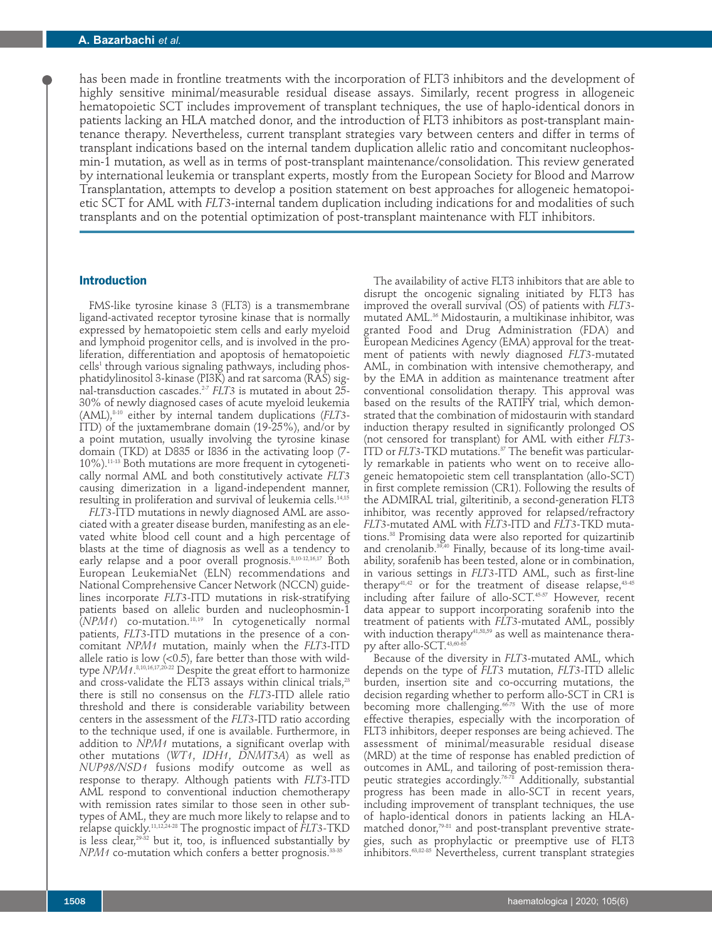has been made in frontline treatments with the incorporation of FLT3 inhibitors and the development of highly sensitive minimal/measurable residual disease assays. Similarly, recent progress in allogeneic hematopoietic SCT includes improvement of transplant techniques, the use of haplo-identical donors in patients lacking an HLA matched donor, and the introduction of FLT3 inhibitors as post-transplant maintenance therapy. Nevertheless, current transplant strategies vary between centers and differ in terms of transplant indications based on the internal tandem duplication allelic ratio and concomitant nucleophosmin-1 mutation, as well as in terms of post-transplant maintenance/consolidation. This review generated by international leukemia or transplant experts, mostly from the European Society for Blood and Marrow Transplantation, attempts to develop a position statement on best approaches for allogeneic hematopoietic SCT for AML with *FLT3*-internal tandem duplication including indications for and modalities of such transplants and on the potential optimization of post-transplant maintenance with FLT inhibitors.

#### **Introduction**

FMS-like tyrosine kinase 3 (FLT3) is a transmembrane ligand-activated receptor tyrosine kinase that is normally expressed by hematopoietic stem cells and early myeloid and lymphoid progenitor cells, and is involved in the proliferation, differentiation and apoptosis of hematopoietic cells<sup>1</sup> through various signaling pathways, including phosphatidylinositol 3-kinase (PI3K) and rat sarcoma (RAS) signal-transduction cascades. 2-7 *FLT3* is mutated in about 25- 30% of newly diagnosed cases of acute myeloid leukemia (AML), 8-10 either by internal tandem duplications (*FLT3*- ITD) of the juxtamembrane domain (19-25%), and/or by a point mutation, usually involving the tyrosine kinase domain (TKD) at D835 or I836 in the activating loop (7- 10%). 11-13 Both mutations are more frequent in cytogenetically normal AML and both constitutively activate *FLT3* causing dimerization in a ligand-independent manner, resulting in proliferation and survival of leukemia cells. 14,15

*FLT3-*ITD mutations in newly diagnosed AML are associated with a greater disease burden, manifesting as an elevated white blood cell count and a high percentage of blasts at the time of diagnosis as well as a tendency to early relapse and a poor overall prognosis. 8,10-12,16,17 Both European LeukemiaNet (ELN) recommendations and National Comprehensive Cancer Network (NCCN) guidelines incorporate *FLT3-*ITD mutations in risk-stratifying patients based on allelic burden and nucleophosmin-1 (*NPM1*) co-mutation. 18,19 In cytogenetically normal patients, *FLT3*-ITD mutations in the presence of a concomitant *NPM1* mutation, mainly when the *FLT3*-ITD allele ratio is low  $(0.5)$ , fare better than those with wildtype *NPM1*. 8,10,16,17,20-22 Despite the great effort to harmonize and cross-validate the FLT3 assays within clinical trials, $^{\scriptscriptstyle 23}$ there is still no consensus on the *FLT3*-ITD allele ratio threshold and there is considerable variability between centers in the assessment of the *FLT3*-ITD ratio according to the technique used, if one is available. Furthermore, in addition to *NPM1* mutations, a significant overlap with other mutations (*WT1*, *IDH1*, *DNMT3A*) as well as *NUP98/NSD1* fusions modify outcome as well as response to therapy. Although patients with *FLT3*-ITD AML respond to conventional induction chemotherapy with remission rates similar to those seen in other subtypes of AML, they are much more likely to relapse and to relapse quickly. 11,12,24-28 The prognostic impact of *FLT3-*TKD is less clear, 29-32 but it, too, is influenced substantially by *NPM1* co-mutation which confers a better prognosis. 33-35

The availability of active FLT3 inhibitors that are able to disrupt the oncogenic signaling initiated by FLT3 has improved the overall survival (OS) of patients with *FLT3* mutated AML. <sup>36</sup> Midostaurin, a multikinase inhibitor, was granted Food and Drug Administration (FDA) and European Medicines Agency (EMA) approval for the treatment of patients with newly diagnosed *FLT3-*mutated AML, in combination with intensive chemotherapy, and by the EMA in addition as maintenance treatment after conventional consolidation therapy. This approval was based on the results of the RATIFY trial, which demonstrated that the combination of midostaurin with standard induction therapy resulted in significantly prolonged OS (not censored for transplant) for AML with either *FLT3*- ITD or *FLT3*-TKD mutations. <sup>37</sup> The benefit was particularly remarkable in patients who went on to receive allogeneic hematopoietic stem cell transplantation (allo-SCT) in first complete remission (CR1). Following the results of the ADMIRAL trial, gilteritinib, a second-generation FLT3 inhibitor, was recently approved for relapsed/refractory *FLT3*-mutated AML with *FLT3*-ITD and *FLT3*-TKD mutations. <sup>38</sup> Promising data were also reported for quizartinib and crenolanib. 39,40 Finally, because of its long-time availability, sorafenib has been tested, alone or in combination, in various settings in *FLT3-*ITD AML, such as first-line therapy $^{41,42}$  or for the treatment of disease relapse, $^{43\cdot 45}$ including after failure of allo-SCT. 45-57 However, recent data appear to support incorporating sorafenib into the treatment of patients with *FLT3*-mutated AML, possibly with induction therapy<sup>41,58,59</sup> as well as maintenance therapy after allo-SCT. 43,60-65

Because of the diversity in *FLT3*-mutated AML, which depends on the type of *FLT3* mutation, *FLT3-*ITD allelic burden, insertion site and co-occurring mutations, the decision regarding whether to perform allo-SCT in CR1 is becoming more challenging. 66-75 With the use of more effective therapies, especially with the incorporation of FLT3 inhibitors, deeper responses are being achieved. The assessment of minimal/measurable residual disease (MRD) at the time of response has enabled prediction of outcomes in AML, and tailoring of post-remission therapeutic strategies accordingly. 76-78 Additionally, substantial progress has been made in allo-SCT in recent years, including improvement of transplant techniques, the use of haplo-identical donors in patients lacking an HLAmatched donor, 79-81 and post-transplant preventive strategies, such as prophylactic or preemptive use of FLT3 inhibitors. 63,82-85 Nevertheless, current transplant strategies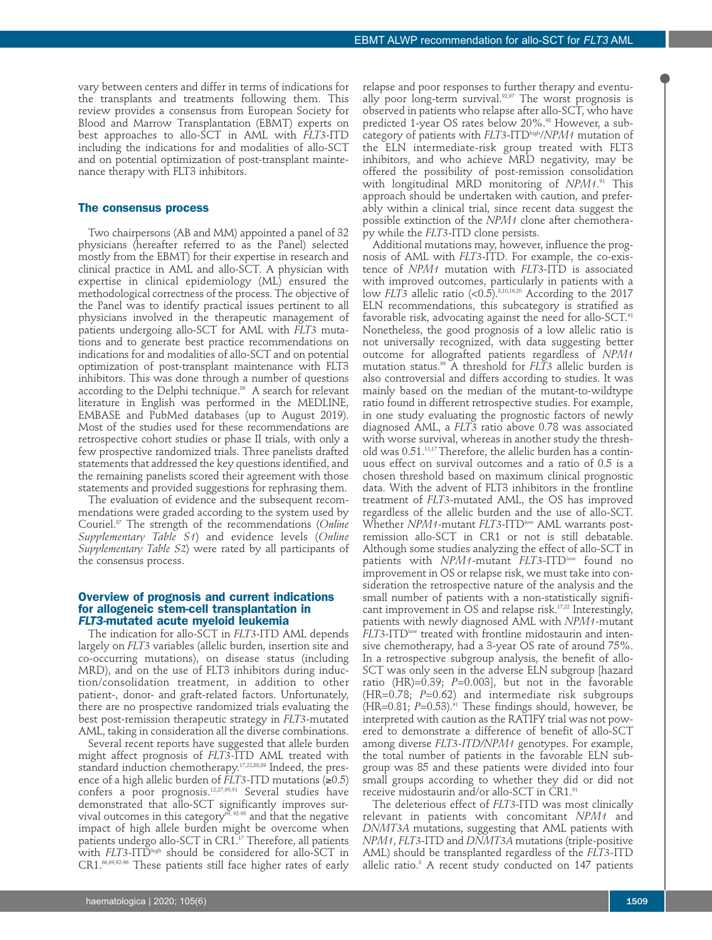vary between centers and differ in terms of indications for the transplants and treatments following them. This review provides a consensus from European Society for Blood and Marrow Transplantation (EBMT) experts on best approaches to allo-SCT in AML with *FLT3*-ITD including the indications for and modalities of allo-SCT and on potential optimization of post-transplant maintenance therapy with FLT3 inhibitors.

#### **The consensus process**

Two chairpersons (AB and MM) appointed a panel of 32 physicians (hereafter referred to as the Panel) selected mostly from the EBMT) for their expertise in research and clinical practice in AML and allo-SCT. A physician with expertise in clinical epidemiology (ML) ensured the methodological correctness of the process. The objective of the Panel was to identify practical issues pertinent to all physicians involved in the therapeutic management of patients undergoing allo-SCT for AML with *FLT3* mutations and to generate best practice recommendations on indications for and modalities of allo-SCT and on potential optimization of post-transplant maintenance with FLT3 inhibitors. This was done through a number of questions according to the Delphi technique. <sup>86</sup> A search for relevant literature in English was performed in the MEDLINE, EMBASE and PubMed databases (up to August 2019). Most of the studies used for these recommendations are retrospective cohort studies or phase II trials, with only a few prospective randomized trials. Three panelists drafted statements that addressed the key questions identified, and the remaining panelists scored their agreement with those statements and provided suggestions for rephrasing them.

The evaluation of evidence and the subsequent recommendations were graded according to the system used by Couriel. <sup>87</sup> The strength of the recommendations (*Online Supplementary Table S1*) and evidence levels (*Online Supplementary Table S2*) were rated by all participants of the consensus process.

#### **Overview of prognosis and current indications for allogeneic stem-cell transplantation in** *FLT3***-mutated acute myeloid leukemia**

The indication for allo-SCT in *FLT3*-ITD AML depends largely on *FLT3* variables (allelic burden, insertion site and co-occurring mutations), on disease status (including MRD), and on the use of FLT3 inhibitors during induction/consolidation treatment, in addition to other patient-, donor- and graft-related factors. Unfortunately, there are no prospective randomized trials evaluating the best post-remission therapeutic strategy in *FLT3*-mutated AML, taking in consideration all the diverse combinations.

Several recent reports have suggested that allele burden might affect prognosis of *FLT3-*ITD AML treated with standard induction chemotherapy. 17,22,88,89 Indeed, the presence of a high allelic burden of *FLT3-*ITD mutations (≥0.5) confers a poor prognosis. 12,27,90,91 Several studies have demonstrated that allo-SCT significantly improves survival outcomes in this category<sup>69, 92.95</sup> and that the negative impact of high allele burden might be overcome when patients undergo allo-SCT in CR1. <sup>17</sup> Therefore, all patients with *FLT3*-ITDhigh should be considered for allo-SCT in CR1.<sup>66,69,92-96</sup> These patients still face higher rates of early

relapse and poor responses to further therapy and eventually poor long-term survival. 92,97 The worst prognosis is observed in patients who relapse after allo-SCT, who have predicted 1-year OS rates below 20%. <sup>98</sup> However, a subcategory of patients with *FLT3*-ITDhigh /*NPM1* mutation of the ELN intermediate-risk group treated with FLT3 inhibitors, and who achieve MRD negativity, may be offered the possibility of post-remission consolidation with longitudinal MRD monitoring of *NPM1*. <sup>91</sup> This approach should be undertaken with caution, and preferably within a clinical trial, since recent data suggest the possible extinction of the *NPM1* clone after chemotherapy while the *FLT3*-ITD clone persists.

Additional mutations may, however, influence the prognosis of AML with *FLT3*-ITD. For example, the co-existence of *NPM1* mutation with *FLT3*-ITD is associated with improved outcomes, particularly in patients with a low *FLT3* allelic ratio (<0.5). 8,10,16,20 According to the 2017 ELN recommendations, this subcategory is stratified as favorable risk, advocating against the need for allo-SCT. 91 Nonetheless, the good prognosis of a low allelic ratio is not universally recognized, with data suggesting better outcome for allografted patients regardless of *NPM1* mutation status. <sup>99</sup> A threshold for *FLT3* allelic burden is also controversial and differs according to studies. It was mainly based on the median of the mutant-to-wildtype ratio found in different retrospective studies. For example, in one study evaluating the prognostic factors of newly diagnosed AML, a *FLT3* ratio above 0.78 was associated with worse survival, whereas in another study the threshold was 0.51. 11,17Therefore, the allelic burden has a continuous effect on survival outcomes and a ratio of 0.5 is a chosen threshold based on maximum clinical prognostic data. With the advent of FLT3 inhibitors in the frontline treatment of *FLT3*-mutated AML, the OS has improved regardless of the allelic burden and the use of allo-SCT. Whether *NPM1*-mutant *FLT3*-ITD<sup>low</sup> AML warrants postremission allo-SCT in CR1 or not is still debatable. Although some studies analyzing the effect of allo-SCT in patients with *NPM1*-mutant *FLT3*-ITD<sup>low</sup> found no improvement in OS or relapse risk, we must take into consideration the retrospective nature of the analysis and the small number of patients with a non-statistically significant improvement in OS and relapse risk.<sup>17,22</sup> Interestingly, patients with newly diagnosed AML with *NPM1-*mutant *FLT3*-ITD<sup>low</sup> treated with frontline midostaurin and intensive chemotherapy, had a 3-year OS rate of around 75%. In a retrospective subgroup analysis, the benefit of allo-SCT was only seen in the adverse ELN subgroup [hazard ratio (HR)= $0.39$ ;  $P=0.003$ ], but not in the favorable (HR=0.78; *P*=0.62) and intermediate risk subgroups (HR=0.81; *P*=0.53). <sup>91</sup> These findings should, however, be interpreted with caution as the RATIFY trial was not powered to demonstrate a difference of benefit of allo-SCT among diverse *FLT3-ITD/NPM1* genotypes. For example, the total number of patients in the favorable ELN subgroup was 85 and these patients were divided into four small groups according to whether they did or did not receive midostaurin and/or allo-SCT in CR1. 91

The deleterious effect of *FLT3*-ITD was most clinically relevant in patients with concomitant *NPM1* and *DNMT3A* mutations, suggesting that AML patients with *NPM1*, *FLT3*-ITD and *DNMT3A* mutations (triple-positive AML) should be transplanted regardless of the *FLT3-*ITD allelic ratio. <sup>8</sup> A recent study conducted on 147 patients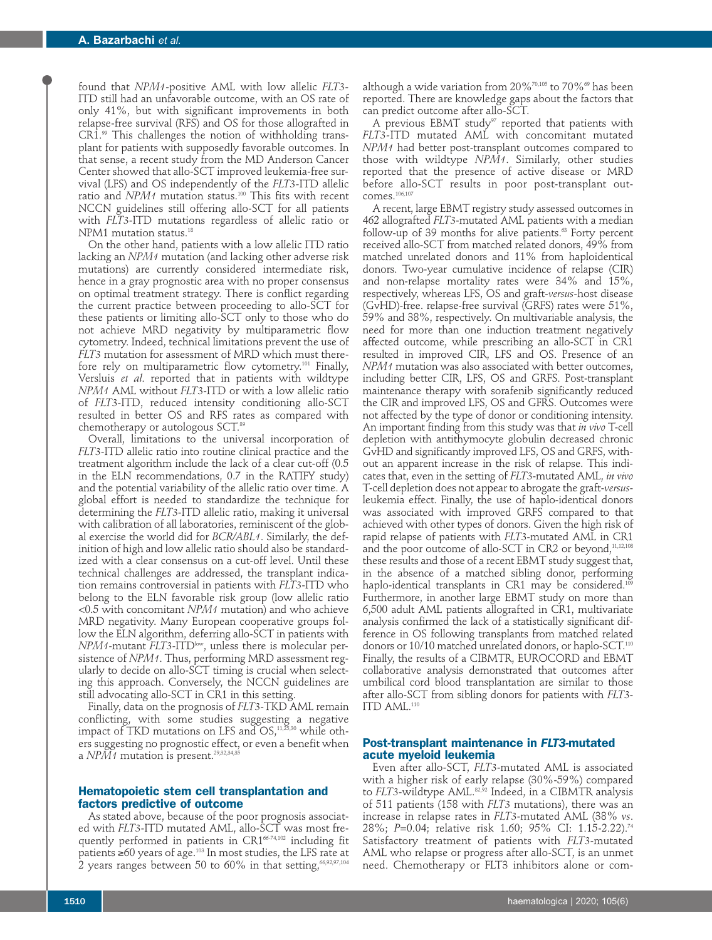found that *NPM1-*positive AML with low allelic *FLT3-* ITD still had an unfavorable outcome, with an OS rate of only 41%, but with significant improvements in both relapse-free survival (RFS) and OS for those allografted in CR1. <sup>99</sup> This challenges the notion of withholding transplant for patients with supposedly favorable outcomes. In that sense, a recent study from the MD Anderson Cancer Center showed that allo-SCT improved leukemia-free survival (LFS) and OS independently of the *FLT3-*ITD allelic ratio and *NPM1* mutation status. <sup>100</sup> This fits with recent NCCN guidelines still offering allo-SCT for all patients with *FLT3*-ITD mutations regardless of allelic ratio or NPM1 mutation status. 18

On the other hand, patients with a low allelic ITD ratio lacking an *NPM1* mutation (and lacking other adverse risk mutations) are currently considered intermediate risk, hence in a gray prognostic area with no proper consensus on optimal treatment strategy. There is conflict regarding the current practice between proceeding to allo-SCT for these patients or limiting allo-SCT only to those who do not achieve MRD negativity by multiparametric flow cytometry. Indeed, technical limitations prevent the use of *FLT3* mutation for assessment of MRD which must therefore rely on multiparametric flow cytometry. <sup>101</sup> Finally, Versluis *et al*. reported that in patients with wildtype *NPM1* AML without *FLT3*-ITD or with a low allelic ratio of *FLT3*-ITD, reduced intensity conditioning allo-SCT resulted in better OS and RFS rates as compared with chemotherapy or autologous SCT. 89

Overall, limitations to the universal incorporation of *FLT3*-ITD allelic ratio into routine clinical practice and the treatment algorithm include the lack of a clear cut-off (0.5 in the ELN recommendations, 0.7 in the RATIFY study) and the potential variability of the allelic ratio over time. A global effort is needed to standardize the technique for determining the *FLT3*-ITD allelic ratio, making it universal with calibration of all laboratories, reminiscent of the global exercise the world did for *BCR/ABL1*. Similarly, the definition of high and low allelic ratio should also be standardized with a clear consensus on a cut-off level. Until these technical challenges are addressed, the transplant indication remains controversial in patients with *FLT3*-ITD who belong to the ELN favorable risk group (low allelic ratio <0.5 with concomitant *NPM1* mutation) and who achieve MRD negativity. Many European cooperative groups follow the ELN algorithm, deferring allo-SCT in patients with *NPM1*-mutant *FLT3*-ITD<sup>low</sup>, unless there is molecular persistence of *NPM1*. Thus, performing MRD assessment regularly to decide on allo-SCT timing is crucial when selecting this approach. Conversely, the NCCN guidelines are still advocating allo-SCT in CR1 in this setting.

Finally, data on the prognosis of *FLT3*-TKD AML remain conflicting, with some studies suggesting a negative impact of TKD mutations on LFS and  $\mathsf{OS}, ^{^{11,25,30}}$  while others suggesting no prognostic effect, or even a benefit when a *NPM1* mutation is present. 29,32,34,35

#### **Hematopoietic stem cell transplantation and factors predictive of outcome**

As stated above, because of the poor prognosis associated with *FLT3*-ITD mutated AML, allo-SCT was most frequently performed in patients in CR166-74,102 including fit patients ≥60 years of age. $^{\scriptscriptstyle 103}$  In most studies, the LFS rate at  $2$  years ranges between 50 to 60% in that setting, $\mathrm{^{66,92,97,104}}$ 

although a wide variation from  $20\%$ <sup>70,105</sup> to  $70\%$ <sup>69</sup> has been reported. There are knowledge gaps about the factors that can predict outcome after allo-SCT.

A previous EBMT study<sup>97</sup> reported that patients with *FLT3-*ITD mutated AML with concomitant mutated *NPM1* had better post-transplant outcomes compared to those with wildtype *NPM1*. Similarly, other studies reported that the presence of active disease or MRD before allo-SCT results in poor post-transplant out $comes.<sup>106,107</sup>$ 

A recent, large EBMT registry study assessed outcomes in 462 allografted *FLT3*-mutated AML patients with a median follow-up of 39 months for alive patients. <sup>63</sup> Forty percent received allo-SCT from matched related donors, 49% from matched unrelated donors and 11% from haploidentical donors. Two-year cumulative incidence of relapse (CIR) and non-relapse mortality rates were 34% and 15%, respectively, whereas LFS, OS and graft-*versus-*host disease (GvHD)-free. relapse-free survival (GRFS) rates were 51%, 59% and 38%, respectively. On multivariable analysis, the need for more than one induction treatment negatively affected outcome, while prescribing an allo-SCT in CR1 resulted in improved CIR, LFS and OS. Presence of an *NPM1* mutation was also associated with better outcomes, including better CIR, LFS, OS and GRFS. Post-transplant maintenance therapy with sorafenib significantly reduced the CIR and improved LFS, OS and GFRS. Outcomes were not affected by the type of donor or conditioning intensity. An important finding from this study was that *in vivo* T-cell depletion with antithymocyte globulin decreased chronic GvHD and significantly improved LFS, OS and GRFS, without an apparent increase in the risk of relapse. This indicates that, even in the setting of *FLT3*-mutated AML, *in vivo* T-cell depletion does not appear to abrogate the graft-*versus*leukemia effect. Finally, the use of haplo-identical donors was associated with improved GRFS compared to that achieved with other types of donors. Given the high risk of rapid relapse of patients with *FLT3*-mutated AML in CR1 and the poor outcome of allo-SCT in CR2 or beyond, 11,12,108 these results and those of a recent EBMT study suggest that, in the absence of a matched sibling donor, performing haplo-identical transplants in CR1 may be considered. 109 Furthermore, in another large EBMT study on more than 6,500 adult AML patients allografted in CR1, multivariate analysis confirmed the lack of a statistically significant difference in OS following transplants from matched related donors or 10/10 matched unrelated donors, or haplo-SCT. 110 Finally, the results of a CIBMTR, EUROCORD and EBMT collaborative analysis demonstrated that outcomes after umbilical cord blood transplantation are similar to those after allo-SCT from sibling donors for patients with *FLT3*- ITD AML. 110

### **Post-transplant maintenance in** *FLT3-***mutated acute myeloid leukemia**

Even after allo-SCT, *FLT3*-mutated AML is associated with a higher risk of early relapse (30%-59%) compared to *FLT3*-wildtype AML. 82,92 Indeed, in a CIBMTR analysis of 511 patients (158 with *FLT3* mutations), there was an increase in relapse rates in *FLT3*-mutated AML (38% *vs*. 28%; *P*=0.04; relative risk 1.60; 95% CI: 1.15-2.22). 74 Satisfactory treatment of patients with *FLT3*-mutated AML who relapse or progress after allo-SCT, is an unmet need. Chemotherapy or FLT3 inhibitors alone or com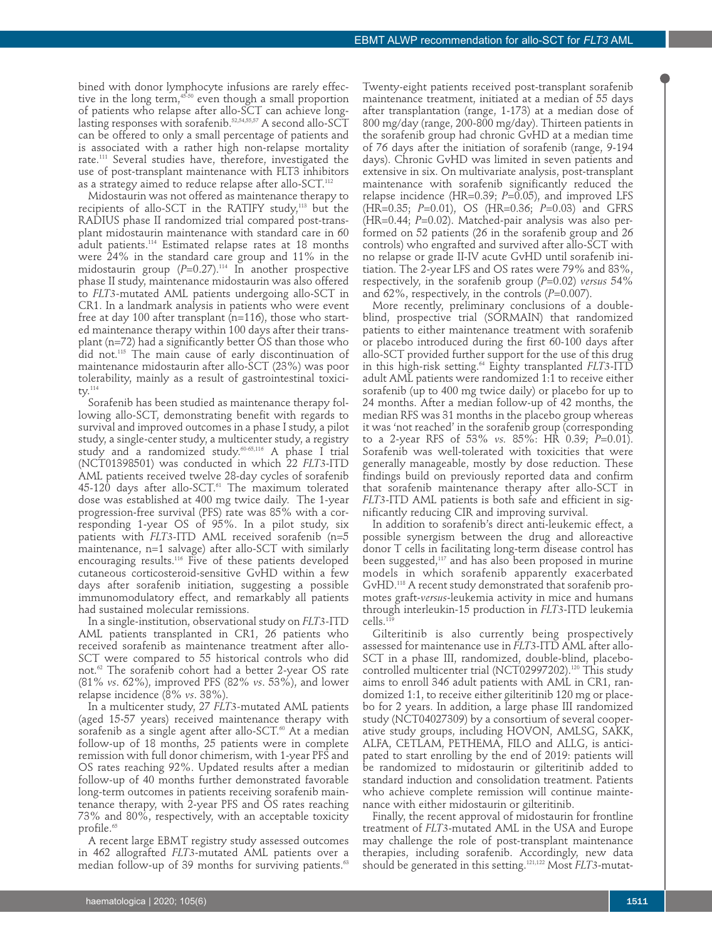bined with donor lymphocyte infusions are rarely effective in the long term, 45-50 even though a small proportion of patients who relapse after allo-SCT can achieve longlasting responses with sorafenib.<sup>52,54,55,57</sup> A second allo-SCT can be offered to only a small percentage of patients and is associated with a rather high non-relapse mortality rate. <sup>111</sup> Several studies have, therefore, investigated the use of post-transplant maintenance with FLT3 inhibitors as a strategy aimed to reduce relapse after allo-SCT. $^{\scriptscriptstyle 112}$ 

Midostaurin was not offered as maintenance therapy to recipients of allo-SCT in the RATIFY study, <sup>113</sup> but the RADIUS phase II randomized trial compared post-transplant midostaurin maintenance with standard care in 60 adult patients. <sup>114</sup> Estimated relapse rates at 18 months were 24% in the standard care group and 11% in the midostaurin group (*P*=0.27). <sup>114</sup> In another prospective phase II study, maintenance midostaurin was also offered to *FLT3-*mutated AML patients undergoing allo-SCT in CR1. In a landmark analysis in patients who were event free at day 100 after transplant (n=116), those who started maintenance therapy within 100 days after their transplant (n=72) had a significantly better OS than those who did not. <sup>115</sup> The main cause of early discontinuation of maintenance midostaurin after allo-SCT (23%) was poor tolerability, mainly as a result of gastrointestinal toxicity. 114

Sorafenib has been studied as maintenance therapy following allo-SCT, demonstrating benefit with regards to survival and improved outcomes in a phase I study, a pilot study, a single-center study, a multicenter study, a registry study and a randomized study. 60-65,116 A phase I trial (NCT01398501) was conducted in which 22 *FLT3*-ITD AML patients received twelve 28-day cycles of sorafenib 45-120 days after allo-SCT. <sup>61</sup> The maximum tolerated dose was established at 400 mg twice daily. The 1-year progression-free survival (PFS) rate was 85% with a corresponding 1-year OS of 95%. In a pilot study, six patients with *FLT3*-ITD AML received sorafenib (n=5 maintenance, n=1 salvage) after allo-SCT with similarly encouraging results. <sup>116</sup> Five of these patients developed cutaneous corticosteroid-sensitive GvHD within a few days after sorafenib initiation, suggesting a possible immunomodulatory effect, and remarkably all patients had sustained molecular remissions.

In a single-institution, observational study on *FLT3-*ITD AML patients transplanted in CR1, 26 patients who received sorafenib as maintenance treatment after allo-SCT were compared to 55 historical controls who did not. <sup>62</sup> The sorafenib cohort had a better 2-year OS rate (81% *vs*. 62%), improved PFS (82% *vs*. 53%), and lower relapse incidence (8% *vs*. 38%).

In a multicenter study, 27 *FLT3-*mutated AML patients (aged 15-57 years) received maintenance therapy with sorafenib as a single agent after allo-SCT. <sup>60</sup> At a median follow-up of 18 months, 25 patients were in complete remission with full donor chimerism, with 1-year PFS and OS rates reaching 92%. Updated results after a median follow-up of 40 months further demonstrated favorable long-term outcomes in patients receiving sorafenib maintenance therapy, with 2-year PFS and OS rates reaching 73% and 80%, respectively, with an acceptable toxicity profile. 65

A recent large EBMT registry study assessed outcomes in 462 allografted *FLT3*-mutated AML patients over a median follow-up of 39 months for surviving patients. 63

Twenty-eight patients received post-transplant sorafenib maintenance treatment, initiated at a median of 55 days after transplantation (range, 1-173) at a median dose of 800 mg/day (range, 200-800 mg/day). Thirteen patients in the sorafenib group had chronic GvHD at a median time of 76 days after the initiation of sorafenib (range, 9-194 days). Chronic GvHD was limited in seven patients and extensive in six. On multivariate analysis, post-transplant maintenance with sorafenib significantly reduced the relapse incidence (HR=0.39; *P*=0.05), and improved LFS (HR=0.35; *P*=0.01), OS (HR=0.36; *P*=0.03) and GFRS (HR=0.44; *P*=0.02). Matched-pair analysis was also performed on 52 patients (26 in the sorafenib group and 26 controls) who engrafted and survived after allo-SCT with no relapse or grade II-IV acute GvHD until sorafenib initiation. The 2-year LFS and OS rates were 79% and 83%, respectively, in the sorafenib group (*P*=0.02) *versus* 54% and 62%, respectively, in the controls (*P*=0.007).

More recently, preliminary conclusions of a doubleblind, prospective trial (SORMAIN) that randomized patients to either maintenance treatment with sorafenib or placebo introduced during the first 60-100 days after allo-SCT provided further support for the use of this drug in this high-risk setting. <sup>64</sup> Eighty transplanted *FLT3*-ITD adult AML patients were randomized 1:1 to receive either sorafenib (up to 400 mg twice daily) or placebo for up to 24 months. After a median follow-up of 42 months, the median RFS was 31 months in the placebo group whereas it was 'not reached' in the sorafenib group (corresponding to a 2-year RFS of 53% *vs.* 85%: HR 0.39; *P*=0.01). Sorafenib was well-tolerated with toxicities that were generally manageable, mostly by dose reduction. These findings build on previously reported data and confirm that sorafenib maintenance therapy after allo-SCT in *FLT3*-ITD AML patients is both safe and efficient in significantly reducing CIR and improving survival.

In addition to sorafenib's direct anti-leukemic effect, a possible synergism between the drug and alloreactive donor T cells in facilitating long-term disease control has been suggested, <sup>117</sup> and has also been proposed in murine models in which sorafenib apparently exacerbated GvHD. <sup>118</sup> A recent study demonstrated that sorafenib promotes graft-*versus*-leukemia activity in mice and humans through interleukin-15 production in *FLT3*-ITD leukemia cells. 119

Gilteritinib is also currently being prospectively assessed for maintenance use in *FLT3*-ITD AML after allo-SCT in a phase III, randomized, double-blind, placebocontrolled multicenter trial (NCT02997202). <sup>120</sup> This study aims to enroll 346 adult patients with AML in CR1, randomized 1:1, to receive either gilteritinib 120 mg or placebo for 2 years. In addition, a large phase III randomized study (NCT04027309) by a consortium of several cooperative study groups, including HOVON, AMLSG, SAKK, ALFA, CETLAM, PETHEMA, FILO and ALLG, is anticipated to start enrolling by the end of 2019: patients will be randomized to midostaurin or gilteritinib added to standard induction and consolidation treatment. Patients who achieve complete remission will continue maintenance with either midostaurin or gilteritinib.

Finally, the recent approval of midostaurin for frontline treatment of *FLT3*-mutated AML in the USA and Europe may challenge the role of post-transplant maintenance therapies, including sorafenib. Accordingly, new data should be generated in this setting. 121,122 Most *FLT3*-mutat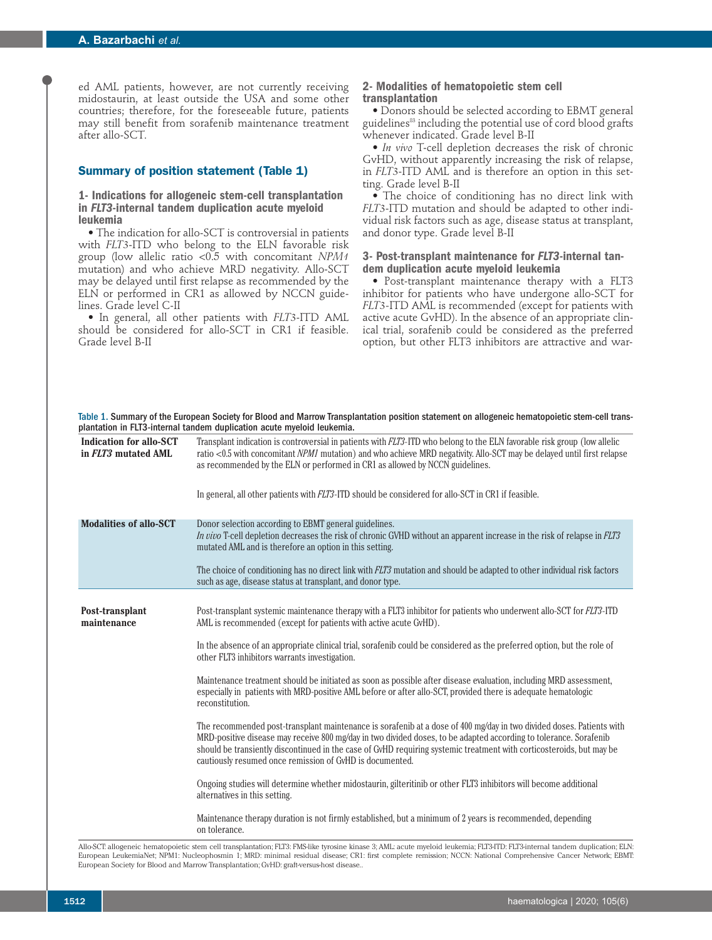ed AML patients, however, are not currently receiving midostaurin, at least outside the USA and some other countries; therefore, for the foreseeable future, patients may still benefit from sorafenib maintenance treatment after allo-SCT.

# **Summary of position statement (Table 1)**

**1- Indications for allogeneic stem-cell transplantation in** *FLT3***-internal tandem duplication acute myeloid leukemia**

• The indication for allo-SCT is controversial in patients with *FLT3*-ITD who belong to the ELN favorable risk group (low allelic ratio <0.5 with concomitant *NPM1* mutation) and who achieve MRD negativity. Allo-SCT may be delayed until first relapse as recommended by the ELN or performed in CR1 as allowed by NCCN guidelines. Grade level C-II

• In general, all other patients with *FLT3*-ITD AML should be considered for allo-SCT in CR1 if feasible. Grade level B-II

#### **2- Modalities of hematopoietic stem cell transplantation**

• Donors should be selected according to EBMT general guidelines<sup>83</sup> including the potential use of cord blood grafts whenever indicated. Grade level B-II

• *In vivo* T-cell depletion decreases the risk of chronic GvHD, without apparently increasing the risk of relapse, in *FLT3*-ITD AML and is therefore an option in this setting. Grade level B-II

• The choice of conditioning has no direct link with *FLT3*-ITD mutation and should be adapted to other individual risk factors such as age, disease status at transplant, and donor type. Grade level B-II

# **3- Post-transplant maintenance for** *FLT3***-internal tan- dem duplication acute myeloid leukemia**

• Post-transplant maintenance therapy with a FLT3 inhibitor for patients who have undergone allo-SCT for *FLT3-*ITD AML is recommended (except for patients with active acute GvHD). In the absence of an appropriate clinical trial, sorafenib could be considered as the preferred option, but other FLT3 inhibitors are attractive and war-

| Table 1. Summary of the European Society for Blood and Marrow Transplantation position statement on allogeneic hematopoietic stem-cell trans-<br>plantation in FLT3-internal tandem duplication acute myeloid leukemia. |                                                                                                                                                                                                                                                                                                                                                                                                                               |
|-------------------------------------------------------------------------------------------------------------------------------------------------------------------------------------------------------------------------|-------------------------------------------------------------------------------------------------------------------------------------------------------------------------------------------------------------------------------------------------------------------------------------------------------------------------------------------------------------------------------------------------------------------------------|
| <b>Indication for allo-SCT</b><br>in FLT3 mutated AML                                                                                                                                                                   | Transplant indication is controversial in patients with FLT3-ITD who belong to the ELN favorable risk group (low allelic<br>ratio <0.5 with concomitant <i>NPM1</i> mutation) and who achieve MRD negativity. Allo-SCT may be delayed until first relapse<br>as recommended by the ELN or performed in CR1 as allowed by NCCN guidelines.                                                                                     |
|                                                                                                                                                                                                                         | In general, all other patients with <i>FLT3</i> -ITD should be considered for allo-SCT in CR1 if feasible.                                                                                                                                                                                                                                                                                                                    |
| <b>Modalities of allo-SCT</b>                                                                                                                                                                                           | Donor selection according to EBMT general guidelines.<br>In vivo T-cell depletion decreases the risk of chronic GVHD without an apparent increase in the risk of relapse in FLT3<br>mutated AML and is therefore an option in this setting.                                                                                                                                                                                   |
|                                                                                                                                                                                                                         | The choice of conditioning has no direct link with FLT3 mutation and should be adapted to other individual risk factors<br>such as age, disease status at transplant, and donor type.                                                                                                                                                                                                                                         |
| Post-transplant<br>maintenance                                                                                                                                                                                          | Post-transplant systemic maintenance therapy with a FLT3 inhibitor for patients who underwent allo-SCT for FLT3-ITD<br>AML is recommended (except for patients with active acute GvHD).                                                                                                                                                                                                                                       |
|                                                                                                                                                                                                                         | In the absence of an appropriate clinical trial, sorafenib could be considered as the preferred option, but the role of<br>other FLT3 inhibitors warrants investigation.                                                                                                                                                                                                                                                      |
|                                                                                                                                                                                                                         | Maintenance treatment should be initiated as soon as possible after disease evaluation, including MRD assessment,<br>especially in patients with MRD-positive AML before or after allo-SCT, provided there is adequate hematologic<br>reconstitution.                                                                                                                                                                         |
|                                                                                                                                                                                                                         | The recommended post-transplant maintenance is sorafenib at a dose of 400 mg/day in two divided doses. Patients with<br>MRD-positive disease may receive 800 mg/day in two divided doses, to be adapted according to tolerance. Sorafenib<br>should be transiently discontinued in the case of GvHD requiring systemic treatment with corticosteroids, but may be<br>cautiously resumed once remission of GvHD is documented. |
|                                                                                                                                                                                                                         | Ongoing studies will determine whether midostaurin, gilteritinib or other FLT3 inhibitors will become additional<br>alternatives in this setting.                                                                                                                                                                                                                                                                             |
|                                                                                                                                                                                                                         | Maintenance therapy duration is not firmly established, but a minimum of 2 years is recommended, depending<br>on tolerance.                                                                                                                                                                                                                                                                                                   |

Allo-SCT: allogeneic hematopoietic stem cell transplantation; FLT3: FMS-like tyrosine kinase 3; AML: acute myeloid leukemia; FLT3-ITD: FLT3-internal tandem duplication; ELN: European LeukemiaNet; NPM1: Nucleophosmin 1; MRD: minimal residual disease; CR1: first complete remission; NCCN: National Comprehensive Cancer Network; EBMT: European Society for Blood and Marrow Transplantation; GvHD: graft-versus-host disease..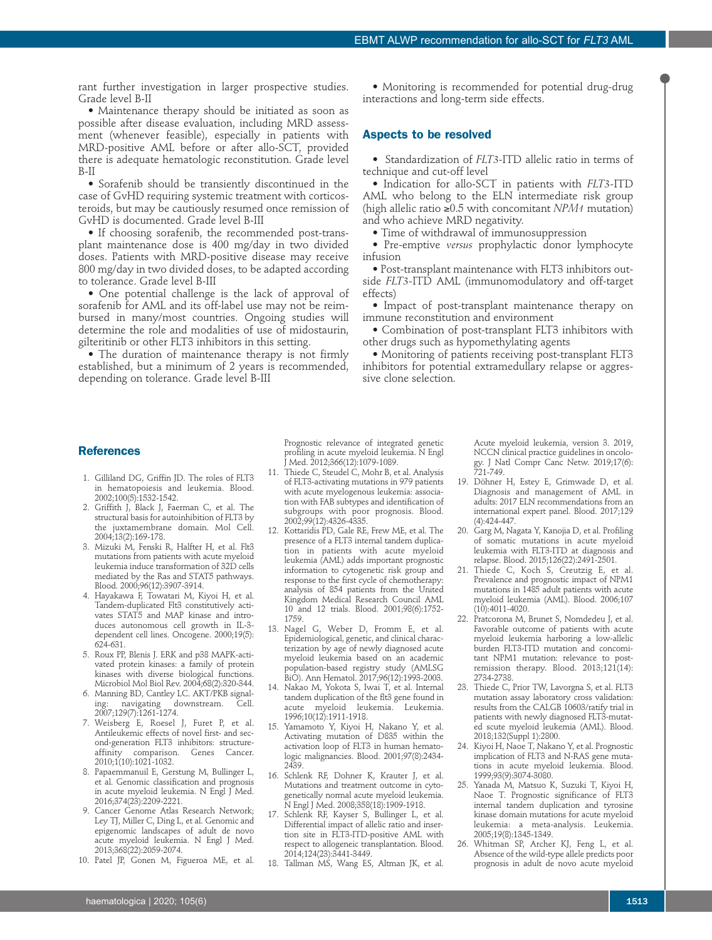rant further investigation in larger prospective studies. Grade level B-II

• Maintenance therapy should be initiated as soon as possible after disease evaluation, including MRD assessment (whenever feasible), especially in patients with MRD-positive AML before or after allo-SCT, provided there is adequate hematologic reconstitution. Grade level B-II

• Sorafenib should be transiently discontinued in the case of GvHD requiring systemic treatment with corticosteroids, but may be cautiously resumed once remission of GvHD is documented. Grade level B-III

• If choosing sorafenib, the recommended post-transplant maintenance dose is 400 mg/day in two divided doses. Patients with MRD-positive disease may receive 800 mg/day in two divided doses, to be adapted according to tolerance. Grade level B-III

• One potential challenge is the lack of approval of sorafenib for AML and its off-label use may not be reimbursed in many/most countries. Ongoing studies will determine the role and modalities of use of midostaurin, gilteritinib or other FLT3 inhibitors in this setting.

• The duration of maintenance therapy is not firmly established, but a minimum of 2 years is recommended, depending on tolerance. Grade level B-III

• Monitoring is recommended for potential drug-drug interactions and long-term side effects.

#### **Aspects to be resolved**

• Standardization of *FLT3*-ITD allelic ratio in terms of technique and cut-off level

• Indication for allo-SCT in patients with *FLT3-*ITD AML who belong to the ELN intermediate risk group (high allelic ratio ≥0.5 with concomitant *NPM1* mutation) and who achieve MRD negativity.

• Time of withdrawal of immunosuppression

• Pre-emptive *versus* prophylactic donor lymphocyte infusion

• Post-transplant maintenance with FLT3 inhibitors outside *FLT3-*ITD AML (immunomodulatory and off-target effects)

• Impact of post-transplant maintenance therapy on immune reconstitution and environment

• Combination of post-transplant FLT3 inhibitors with other drugs such as hypomethylating agents

• Monitoring of patients receiving post-transplant FLT3 inhibitors for potential extramedullary relapse or aggressive clone selection.

#### **References**

- 1. Gilliland DG, Griffin JD. The roles of FLT3 in hematopoiesis and leukemia. Blood. 2002;100(5):1532-1542.
- 2. Griffith J, Black J, Faerman C, et al. The structural basis for autoinhibition of FLT3 by the juxtamembrane domain. Mol Cell. 2004;13(2):169-178.
- 3. Mizuki M, Fenski R, Halfter H, et al. Flt3 mutations from patients with acute myeloid leukemia induce transformation of 32D cells mediated by the Ras and STAT5 pathways. Blood. 2000;96(12):3907-3914.
- 4. Hayakawa F, Towatari M, Kiyoi H, et al. Tandem-duplicated Flt3 constitutively activates STAT5 and MAP kinase and introduces autonomous cell growth in IL-3 dependent cell lines. Oncogene. 2000;19(5): 624-631.
- 5. Roux PP, Blenis J. ERK and p38 MAPK-activated protein kinases: a family of protein kinases with diverse biological functions. Microbiol Mol Biol Rev. 2004;68(2):320-344.
- 6. Manning BD, Cantley LC. AKT/PKB signaling: navigating downstream. Cell. 2007;129(7):1261-1274.
- 7. Weisberg E, Roesel J, Furet P, et al. Antileukemic effects of novel first- and second-generation FLT3 inhibitors: structure-<br>affinity comparison. Genes Cancer. affinity comparison. 2010;1(10):1021-1032.
- 8. Papaemmanuil E, Gerstung M, Bullinger L, et al. Genomic classification and prognosis in acute myeloid leukemia. N Engl J Med. 2016;374(23):2209-2221.
- 9. Cancer Genome Atlas Research Network; Ley TJ, Miller C, Ding L, et al. Genomic and epigenomic landscapes of adult de novo acute myeloid leukemia. N Engl J Med. 2013;368(22):2059-2074.
- 10. Patel JP, Gonen M, Figueroa ME, et al.

Prognostic relevance of integrated genetic profiling in acute myeloid leukemia. N Engl J Med. 2012;366(12):1079-1089.

- 11. Thiede C, Steudel C, Mohr B, et al. Analysis of FLT3-activating mutations in 979 patients with acute myelogenous leukemia: association with FAB subtypes and identification of subgroups with poor prognosis. Blood. 2002;99(12):4326-4335.
- 12. Kottaridis PD, Gale RE, Frew ME, et al. The presence of a FLT3 internal tandem duplication in patients with acute myeloid leukemia (AML) adds important prognostic information to cytogenetic risk group and response to the first cycle of chemotherapy: analysis of 854 patients from the United Kingdom Medical Research Council AML 10 and 12 trials. Blood. 2001;98(6):1752- 1759.
- 13. Nagel G, Weber D, Fromm E, et al. Epidemiological, genetic, and clinical characterization by age of newly diagnosed acute myeloid leukemia based on an academic population-based registry study (AMLSG BiO). Ann Hematol. 2017;96(12):1993-2003.
- 14. Nakao M, Yokota S, Iwai T, et al. Internal tandem duplication of the flt3 gene found in acute myeloid leukemia. 1996;10(12):1911-1918.
- 15. Yamamoto Y, Kiyoi H, Nakano Y, et al. Activating mutation of D835 within the activation loop of FLT3 in human hematologic malignancies. Blood. 2001;97(8):2434- 2439.
- 16. Schlenk RF, Dohner K, Krauter J, et al. Mutations and treatment outcome in cytogenetically normal acute myeloid leukemia. N Engl J Med. 2008;358(18):1909-1918.
- 17. Schlenk RF, Kayser S, Bullinger L, et al. Differential impact of allelic ratio and insertion site in FLT3-ITD-positive AML with respect to allogeneic transplantation. Blood. 2014;124(23):3441-3449.
- 18. Tallman MS, Wang ES, Altman JK, et al.

Acute myeloid leukemia, version 3. 2019, NCCN clinical practice guidelines in oncology. J Natl Compr Canc Netw. 2019;17(6): 721-749.

- 19. Döhner H, Estey E, Grimwade D, et al. Diagnosis and management of AML in adults: 2017 ELN recommendations from an international expert panel. Blood. 2017;129 (4):424-447.
- 20. Garg M, Nagata Y, Kanojia D, et al. Profiling of somatic mutations in acute myeloid leukemia with FLT3-ITD at diagnosis and relapse. Blood. 2015;126(22):2491-2501.
- 21. Thiede C, Koch S, Creutzig E, et al. Prevalence and prognostic impact of NPM1 mutations in 1485 adult patients with acute myeloid leukemia (AML). Blood. 2006;107 (10):4011-4020.
- Pratcorona M, Brunet S, Nomdedeu J, et al. Favorable outcome of patients with acute myeloid leukemia harboring a low-allelic burden FLT3-ITD mutation and concomitant NPM1 mutation: relevance to postremission therapy. Blood. 2013;121(14): 2734-2738.
- 23. Thiede C, Prior TW, Lavorgna S, et al. FLT3 mutation assay laboratory cross validation: results from the CALGB 10603/ratify trial in patients with newly diagnosed FLT3-mutated scute myeloid leukemia (AML). Blood. 2018;132(Suppl 1):2800.
- 24. Kiyoi H, Naoe T, Nakano Y, et al. Prognostic implication of FLT3 and N-RAS gene mutations in acute myeloid leukemia. Blood. 1999;93(9):3074-3080.
- 25. Yanada M, Matsuo K, Suzuki T, Kiyoi H, Naoe T. Prognostic significance of FLT3 internal tandem duplication and tyrosine kinase domain mutations for acute myeloid leukemia: a meta-analysis. Leukemia. 2005;19(8):1345-1349.
- 26. Whitman SP, Archer KJ, Feng L, et al. Absence of the wild-type allele predicts poor prognosis in adult de novo acute myeloid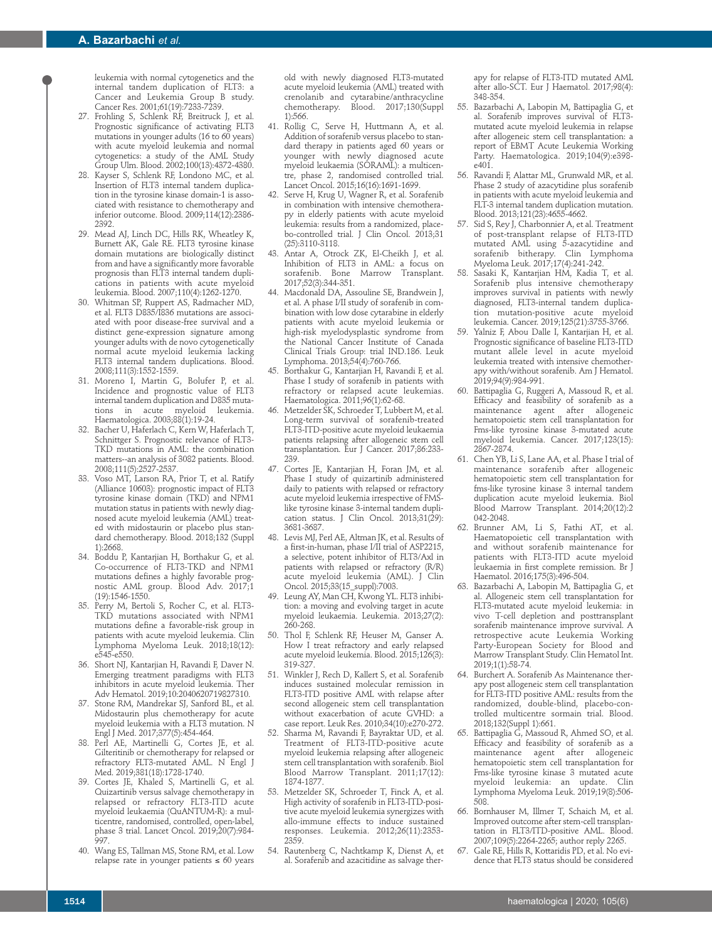leukemia with normal cytogenetics and the internal tandem duplication of FLT3: a Cancer and Leukemia Group B study. Cancer Res. 2001;61(19):7233-7239.

- 27. Frohling S, Schlenk RF, Breitruck J, et al. Prognostic significance of activating FLT3 mutations in younger adults (16 to 60 years) with acute myeloid leukemia and normal cytogenetics: a study of the AML Study Group Ulm. Blood. 2002;100(13):4372-4380.
- 28. Kayser S, Schlenk RF, Londono MC, et al. Insertion of FLT3 internal tandem duplication in the tyrosine kinase domain-1 is associated with resistance to chemotherapy and inferior outcome. Blood. 2009;114(12):2386- 2392.
- 29. Mead AJ, Linch DC, Hills RK, Wheatley K, Burnett AK, Gale RE. FLT3 tyrosine kinase domain mutations are biologically distinct from and have a significantly more favorable prognosis than FLT3 internal tandem duplications in patients with acute myeloid leukemia. Blood. 2007;110(4):1262-1270.
- 30. Whitman SP, Ruppert AS, Radmacher MD, et al. FLT3 D835/I836 mutations are associated with poor disease-free survival and a distinct gene-expression signature among younger adults with de novo cytogenetically normal acute myeloid leukemia lacking FLT3 internal tandem duplications. Blood. 2008;111(3):1552-1559.
- 31. Moreno I, Martin G, Bolufer P, et al. Incidence and prognostic value of FLT3 internal tandem duplication and D835 mutations in acute myeloid leukemia. Haematologica. 2003;88(1):19-24.
- 32. Bacher U, Haferlach C, Kern W, Haferlach T, Schnittger S. Prognostic relevance of FLT3- TKD mutations in AML: the combination matters--an analysis of 3082 patients. Blood. 2008;111(5):2527-2537.
- 33. Voso MT, Larson RA, Prior T, et al. Ratify (Alliance 10603): prognostic impact of FLT3 tyrosine kinase domain (TKD) and NPM1 mutation status in patients with newly diagnosed acute myeloid leukemia (AML) treated with midostaurin or placebo plus standard chemotherapy. Blood. 2018;132 (Suppl 1):2668.
- 34. Boddu P, Kantarjian H, Borthakur G, et al. Co-occurrence of FLT3-TKD and NPM1 mutations defines a highly favorable prognostic AML group. Blood Adv. 2017;1 (19):1546-1550.
- 35. Perry M, Bertoli S, Rocher C, et al. FLT3- TKD mutations associated with NPM1 mutations define a favorable-risk group in patients with acute myeloid leukemia. Clin Lymphoma Myeloma Leuk. 2018;18(12): e545-e550.
- 36. Short NJ, Kantarjian H, Ravandi F, Daver N. Emerging treatment paradigms with FLT3 inhibitors in acute myeloid leukemia. Ther Adv Hematol. 2019;10:2040620719827310.
- 37. Stone RM, Mandrekar SJ, Sanford BL, et al. Midostaurin plus chemotherapy for acute myeloid leukemia with a FLT3 mutation. N Engl J Med. 2017;377(5):454-464.
- 38. Perl AE, Martinelli G, Cortes JE, et al. Gilteritinib or chemotherapy for relapsed or refractory FLT3-mutated AML. N Engl J Med. 2019;381(18):1728-1740.
- 39. Cortes JE, Khaled S, Martinelli G, et al. Quizartinib versus salvage chemotherapy in relapsed or refractory FLT3-ITD acute myeloid leukaemia (QuANTUM-R): a multicentre, randomised, controlled, open-label, phase 3 trial. Lancet Oncol. 2019;20(7):984- 997.
- 40. Wang ES, Tallman MS, Stone RM, et al. Low relapse rate in younger patients ≤ 60 years

old with newly diagnosed FLT3-mutated acute myeloid leukemia (AML) treated with crenolanib and cytarabine/anthracycline chemotherapy. Blood. 2017;130(Suppl 1):566.

- 41. Rollig C, Serve H, Huttmann A, et al. Addition of sorafenib versus placebo to standard therapy in patients aged 60 years or younger with newly diagnosed acute myeloid leukaemia (SORAML): a multicentre, phase 2, randomised controlled trial. Lancet Oncol. 2015;16(16):1691-1699.
- Serve H, Krug U, Wagner R, et al. Sorafenib in combination with intensive chemotherapy in elderly patients with acute myeloid leukemia: results from a randomized, placebo-controlled trial. J Clin Oncol. 2013;31 (25):3110-3118.
- 43. Antar A, Otrock ZK, El-Cheikh J, et al. Inhibition of FLT3 in AML: a focus on sorafenib. Bone Marrow Transplant. 2017;52(3):344-351.
- 44. Macdonald DA, Assouline SE, Brandwein J, et al. A phase I/II study of sorafenib in combination with low dose cytarabine in elderly patients with acute myeloid leukemia or high-risk myelodysplastic syndrome from the National Cancer Institute of Canada Clinical Trials Group: trial IND.186. Leuk Lymphoma. 2013;54(4):760-766.
- 45. Borthakur G, Kantarjian H, Ravandi F, et al. Phase I study of sorafenib in patients with refractory or relapsed acute leukemias. Haematologica. 2011;96(1):62-68.
- 46. Metzelder SK, Schroeder T, Lubbert M, et al. Long-term survival of sorafenib-treated FLT3-ITD-positive acute myeloid leukaemia patients relapsing after allogeneic stem cell transplantation. Eur J Cancer. 2017;86:233- 239.
- Cortes JE, Kantarjian H, Foran JM, et al. Phase I study of quizartinib administered daily to patients with relapsed or refractory acute myeloid leukemia irrespective of FMSlike tyrosine kinase 3-internal tandem duplication status. J Clin Oncol.  $2013:31(29)$ : 3681-3687.
- 48. Levis MJ, Perl AE, Altman JK, et al. Results of a first-in-human, phase I/II trial of ASP2215, a selective, potent inhibitor of FLT3/Axl in patients with relapsed or refractory (R/R) acute myeloid leukemia (AML). J Clin Oncol. 2015;33(15\_suppl):7003.
- Leung AY, Man CH, Kwong YL. FLT3 inhibition: a moving and evolving target in acute myeloid leukaemia. Leukemia. 2013;27(2): 260-268.
- 50. Thol F, Schlenk RF, Heuser M, Ganser A. How I treat refractory and early relapsed acute myeloid leukemia. Blood. 2015;126(3): 319-327.
- 51. Winkler J, Rech D, Kallert S, et al. Sorafenib induces sustained molecular remission in FLT3-ITD positive AML with relapse after second allogeneic stem cell transplantation without exacerbation of acute GVHD: a case report. Leuk Res. 2010;34(10):e270-272.
- 52. Sharma M, Ravandi F, Bayraktar UD, et al. Treatment of FLT3-ITD-positive acute myeloid leukemia relapsing after allogeneic stem cell transplantation with sorafenib. Biol Blood Marrow Transplant. 2011;17(12): 1874-1877.
- 53. Metzelder SK, Schroeder T, Finck A, et al. High activity of sorafenib in FLT3-ITD-positive acute myeloid leukemia synergizes with allo-immune effects to induce sustained responses. Leukemia. 2012;26(11):2353- 2359.
- 54. Rautenberg C, Nachtkamp K, Dienst A, et al. Sorafenib and azacitidine as salvage ther-

apy for relapse of FLT3-ITD mutated AML after allo-SCT. Eur J Haematol. 2017;98(4): 348-354.

- 55. Bazarbachi A, Labopin M, Battipaglia G, et al. Sorafenib improves survival of FLT3 mutated acute myeloid leukemia in relapse after allogeneic stem cell transplantation: a report of EBMT Acute Leukemia Working Party. Haematologica. 2019;104(9):e398 e401.
- 56. Ravandi F, Alattar ML, Grunwald MR, et al. Phase 2 study of azacytidine plus sorafenib in patients with acute myeloid leukemia and FLT-3 internal tandem duplication mutation. Blood. 2013;121(23):4655-4662.
- 57. Sid S, Rey J, Charbonnier A, et al. Treatment of post-transplant relapse of FLT3-ITD mutated AML using 5-azacytidine and sorafenib bitherapy. Clin Lymphoma Myeloma Leuk. 2017;17(4):241-242.
- 58. Sasaki K, Kantarjian HM, Kadia T, et al. Sorafenib plus intensive chemotherapy improves survival in patients with newly diagnosed, FLT3-internal tandem duplication mutation-positive acute myeloid leukemia. Cancer. 2019;125(21):3755-3766.
- Yalniz F, Abou Dalle I, Kantarjian H, et al. Prognostic significance of baseline FLT3-ITD mutant allele level in acute myeloid leukemia treated with intensive chemotherapy with/without sorafenib. Am J Hematol. 2019;94(9):984-991.
- 60. Battipaglia G, Ruggeri A, Massoud R, et al. Efficacy and feasibility of sorafenib as a maintenance agent after allogeneic hematopoietic stem cell transplantation for Fms-like tyrosine kinase 3-mutated acute myeloid leukemia. Cancer. 2017;123(15): 2867-2874.
- 61. Chen YB, Li S, Lane AA, et al. Phase I trial of maintenance sorafenib after allogeneic hematopoietic stem cell transplantation for fms-like tyrosine kinase 3 internal tandem duplication acute myeloid leukemia. Biol Blood Marrow Transplant. 2014;20(12):2 042-2048.
- 62. Brunner AM, Li S, Fathi AT, et al. Haematopoietic cell transplantation with and without sorafenib maintenance for patients with FLT3-ITD acute myeloid leukaemia in first complete remission. Br J Haematol. 2016;175(3):496-504.
- 63. Bazarbachi A, Labopin M, Battipaglia G, et al. Allogeneic stem cell transplantation for FLT3-mutated acute myeloid leukemia: in vivo T-cell depletion and posttransplant sorafenib maintenance improve survival. A retrospective acute Leukemia Working Party-European Society for Blood and Marrow Transplant Study. Clin Hematol Int. 2019;1(1):58-74.
- 64. Burchert A. Sorafenib As Maintenance therapy post allogeneic stem cell transplantation for FLT3-ITD positive AML: results from the randomized, double-blind, placebo-controlled multicentre sormain trial. Blood. 2018;132(Suppl 1):661.
- 65. Battipaglia G, Massoud R, Ahmed SO, et al. Efficacy and feasibility of sorafenib as a maintenance agent after allogeneic hematopoietic stem cell transplantation for Fms-like tyrosine kinase 3 mutated acute myeloid leukemia: an update. Clin Lymphoma Myeloma Leuk. 2019;19(8):506- 508.
- 66. Bornhauser M, Illmer T, Schaich M, et al. Improved outcome after stem-cell transplantation in FLT3/ITD-positive AML. Blood. 2007;109(5):2264-2265; author reply 2265.
- 67. Gale RE, Hills R, Kottaridis PD, et al. No evidence that FLT3 status should be considered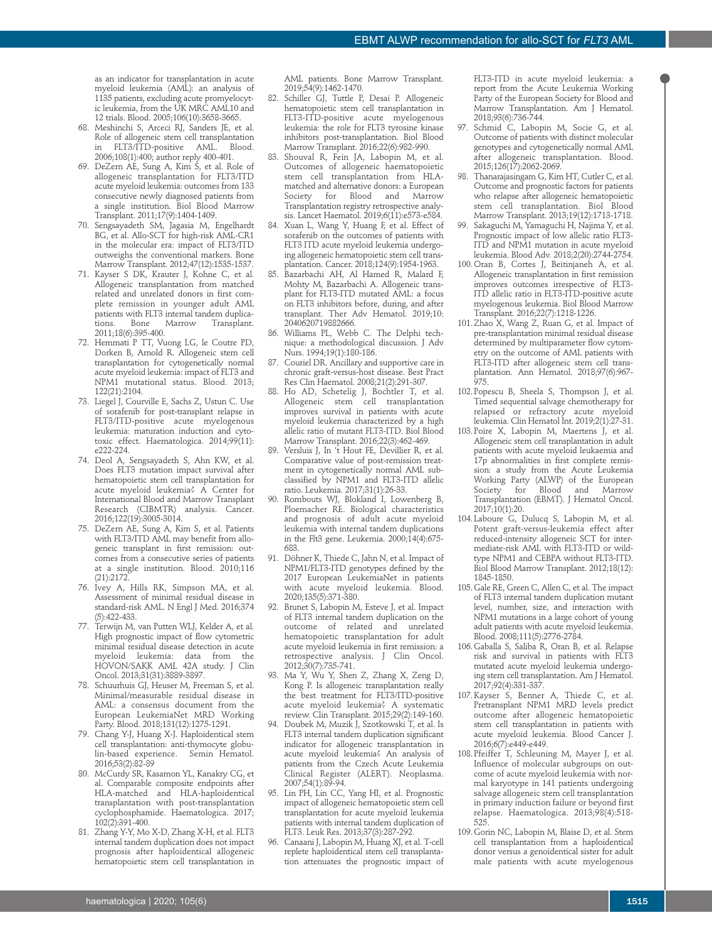as an indicator for transplantation in acute myeloid leukemia (AML): an analysis of 1135 patients, excluding acute promyelocytic leukemia, from the UK MRC AML10 and 12 trials. Blood. 2005;106(10):3658-3665.

- 68. Meshinchi S, Arceci RJ, Sanders JE, et al. Role of allogeneic stem cell transplantation<br>in FLT3/ITD-positive AML. Blood. in FLT3/ITD-positive AML. 2006;108(1):400; author reply 400-401.
- 69. DeZern AE, Sung A, Kim S, et al. Role of allogeneic transplantation for FLT3/ITD acute myeloid leukemia: outcomes from 133 consecutive newly diagnosed patients from a single institution. Biol Blood Marrow Transplant. 2011;17(9):1404-1409.
- 70. Sengsayadeth SM, Jagasia M, Engelhardt BG, et al. Allo-SCT for high-risk AML-CR1 in the molecular era: impact of FLT3/ITD outweighs the conventional markers. Bone Marrow Transplant. 2012;47(12):1535-1537.
- 71. Kayser S DK, Krauter J, Kohne C, et al. Allogeneic transplantation from matched related and unrelated donors in first complete remission in younger adult AML patients with FLT3 internal tandem duplications. Bone Marrow Transplant. 2011;18(6):395-400.
- 72. Hemmati P TT, Vuong LG, le Coutre PD, Dorken B, Arnold R. Allogeneic stem cell transplantation for cytogenetically normal acute myeloid leukemia: impact of FLT3 and NPM1 mutational status. Blood. 2013; 122(21):2104.
- 73. Liegel J, Courville E, Sachs Z, Ustun C. Use of sorafenib for post-transplant relapse in FLT3/ITD-positive acute myelogenous leukemia: maturation induction and cytotoxic effect. Haematologica. 2014;99(11): e222-224.
- 74. Deol A, Sengsayadeth S, Ahn KW, et al. Does FLT3 mutation impact survival after hematopoietic stem cell transplantation for acute myeloid leukemia? A Center for International Blood and Marrow Transplant Research (CIBMTR) analysis. Cancer. 2016;122(19):3005-3014.
- 75. DeZern AE, Sung A, Kim S, et al. Patients with FLT3/ITD AML may benefit from allogeneic transplant in first remission: outcomes from a consecutive series of patients at a single institution. Blood. 2010;116 (21):2172.
- 76. Ivey A, Hills RK, Simpson MA, et al. Assessment of minimal residual disease in standard-risk AML. N Engl J Med. 2016;374 (5):422-433.
- 77. Terwijn M, van Putten WLJ, Kelder A, et al. High prognostic impact of flow cytometric minimal residual disease detection in acute myeloid leukemia: data from the HOVON/SAKK AML 42A study. J Clin Oncol. 2013;31(31):3889-3897.
- 78. Schuurhuis GJ, Heuser M, Freeman S, et al. Minimal/measurable residual disease in AML: a consensus document from the European LeukemiaNet MRD Working Party. Blood. 2018;131(12):1275-1291.
- 79. Chang Y-J, Huang X-J. Haploidentical stem cell transplantation: anti-thymocyte globulin-based experience. Semin Hematol. 2016;53(2):82-89
- 80. McCurdy SR, Kasamon YL, Kanakry CG, et al. Comparable composite endpoints after HLA-matched and HLA-haploidentical transplantation with post-transplantation cyclophosphamide. Haematologica. 2017; 102(2):391-400.
- 81. Zhang Y-Y, Mo X-D, Zhang X-H, et al. FLT3 internal tandem duplication does not impact prognosis after haploidentical allogeneic hematopoietic stem cell transplantation in

AML patients. Bone Marrow Transplant. 2019;54(9):1462-1470.

- 82. Schiller GJ, Tuttle P, Desai P. Allogeneic hematopoietic stem cell transplantation in FLT3-ITD-positive acute myelogenous leukemia: the role for FLT3 tyrosine kinase inhibitors post-transplantation. Biol Blood Marrow Transplant. 2016;22(6):982-990.
- Shouval R, Fein JA, Labopin M, et al. Outcomes of allogeneic haematopoietic stem cell transplantation from HLAmatched and alternative donors: a European Society for Blood and Transplantation registry retrospective analysis. Lancet Haematol. 2019;6(11):e573-e584.
- 84. Xuan L, Wang Y, Huang F, et al. Effect of sorafenib on the outcomes of patients with FLT3 ITD acute myeloid leukemia undergoing allogeneic hematopoietic stem cell transplantation. Cancer. 2018;124(9):1954-1963.
- 85. Bazarbachi AH, Al Hamed R, Malard F, Mohty M, Bazarbachi A. Allogeneic transplant for FLT3-ITD mutated AML: a focus on FLT3 inhibitors before, during, and after transplant. Ther Adv Hematol. 2019;10: 2040620719882666.
- 86. Williams PL, Webb C. The Delphi technique: a methodological discussion. J Adv Nurs. 1994;19(1):180-186.
- Couriel DR. Ancillary and supportive care in chronic graft-versus-host disease. Best Pract Res Clin Haematol. 2008;21(2):291-307.
- 88. Ho AD, Schetelig J, Bochtler T, et al. Allogeneic stem cell transplantation improves survival in patients with acute myeloid leukemia characterized by a high allelic ratio of mutant FLT3-ITD. Biol Blood Marrow Transplant. 2016;22(3):462-469.
- 89. Versluis J, In 't Hout FE, Devillier R, et al. Comparative value of post-remission treatment in cytogenetically normal AML subclassified by NPM1 and FLT3-ITD allelic ratio. Leukemia. 2017;31(1):26-33.
- 90. Rombouts WJ, Blokland I, Lowenberg B, Ploemacher RE. Biological characteristics and prognosis of adult acute myeloid leukemia with internal tandem duplications in the Flt3 gene. Leukemia. 2000;14(4):675- 683.
- 91. Döhner K, Thiede C, Jahn N, et al. Impact of NPM1/FLT3-ITD genotypes defined by the 2017 European LeukemiaNet in patients with acute myeloid leukemia. Blood. 2020;135(5):371-380.
- 92. Brunet S, Labopin M, Esteve J, et al. Impact of FLT3 internal tandem duplication on the outcome of related and unrelated hematopoietic transplantation for adult acute myeloid leukemia in first remission: a retrospective analysis. J Clin Oncol. 2012;30(7):735-741.
- 93. Ma Y, Wu Y, Shen Z, Zhang X, Zeng D, Kong P. Is allogeneic transplantation really the best treatment for FLT3/ITD-positive acute myeloid leukemia? A systematic review. Clin Transplant. 2015;29(2):149-160.
- 94. Doubek M, Muzik J, Szotkowski T, et al. Is FLT3 internal tandem duplication significant indicator for allogeneic transplantation in acute myeloid leukemia? An analysis of patients from the Czech Acute Leukemia Clinical Register (ALERT). Neoplasma. 2007;54(1):89-94.
- 95. Lin PH, Lin CC, Yang HI, et al. Prognostic impact of allogeneic hematopoietic stem cell transplantation for acute myeloid leukemia patients with internal tandem duplication of FLT3. Leuk Res. 2013;37(3):287-292.
- 96. Canaani J, Labopin M, Huang XJ, et al. T-cell replete haploidentical stem cell transplantation attenuates the prognostic impact of

FLT3-ITD in acute myeloid leukemia: a report from the Acute Leukemia Working Party of the European Society for Blood and Marrow Transplantation. Am J Hematol. 2018;93(6):736-744.

- Schmid C, Labopin M, Socie G, et al. Outcome of patients with distinct molecular genotypes and cytogenetically normal AML after allogeneic transplantation. Blood. 2015;126(17):2062-2069.
- 98. Thanarajasingam G, Kim HT, Cutler C, et al. Outcome and prognostic factors for patients who relapse after allogeneic hematopoietic stem cell transplantation. Biol Blood Marrow Transplant. 2013;19(12):1713-1718.
	- Sakaguchi M, Yamaguchi H, Najima Y, et al. Prognostic impact of low allelic ratio FLT3- ITD and NPM1 mutation in acute myeloid leukemia. Blood Adv. 2018;2(20):2744-2754.
- 100.Oran B, Cortes J, Beitinjaneh A, et al. Allogeneic transplantation in first remission improves outcomes irrespective of FLT3- ITD allelic ratio in FLT3-ITD-positive acute myelogenous leukemia. Biol Blood Marrow Transplant. 2016;22(7):1218-1226.
- 101.Zhao X, Wang Z, Ruan G, et al. Impact of pre-transplantation minimal residual disease determined by multiparameter flow cytometry on the outcome of AML patients with FLT3-ITD after allogeneic stem cell transplantation. Ann Hematol. 2018;97(6):967- .<br>975.
- 102.Popescu B, Sheela S, Thompson J, et al. Timed sequential salvage chemotherapy for relapsed or refractory acute myeloid leukemia. Clin Hematol Int. 2019;2(1):27-31.
- 103.Poire X, Labopin M, Maertens J, et al. Allogeneic stem cell transplantation in adult patients with acute myeloid leukaemia and 17p abnormalities in first complete remission: a study from the Acute Leukemia Working Party (ALWP) of the European<br>Society for Blood and Marrow Society for Blood and Marrow Transplantation (EBMT). J Hematol Oncol. 2017;10(1):20.
- 104.Laboure G, Dulucq S, Labopin M, et al. Potent graft-versus-leukemia effect after reduced-intensity allogeneic SCT for intermediate-risk AML with FLT3-ITD or wildtype NPM1 and CEBPA without FLT3-ITD. Biol Blood Marrow Transplant. 2012;18(12): 1845-1850.
- 105.Gale RE, Green C, Allen C, et al. The impact of FLT3 internal tandem duplication mutant level, number, size, and interaction with NPM1 mutations in a large cohort of young adult patients with acute myeloid leukemia. Blood. 2008;111(5):2776-2784.
- 106.Gaballa S, Saliba R, Oran B, et al. Relapse risk and survival in patients with FLT3 mutated acute myeloid leukemia undergoing stem cell transplantation. Am J Hematol. 2017;92(4):331-337.
- 107.Kayser S, Benner A, Thiede C, et al. Pretransplant NPM1 MRD levels predict outcome after allogeneic hematopoietic stem cell transplantation in patients with acute myeloid leukemia. Blood Cancer J. 2016;6(7):e449-e449.
- 108.Pfeiffer T, Schleuning M, Mayer J, et al. Influence of molecular subgroups on outcome of acute myeloid leukemia with normal karyotype in 141 patients undergoing salvage allogeneic stem cell transplantation in primary induction failure or beyond first relapse. Haematologica. 2013;98(4):518- 525.
- 109.Gorin NC, Labopin M, Blaise D, et al. Stem cell transplantation from a haploidentical donor versus a genoidentical sister for adult male patients with acute myelogenous